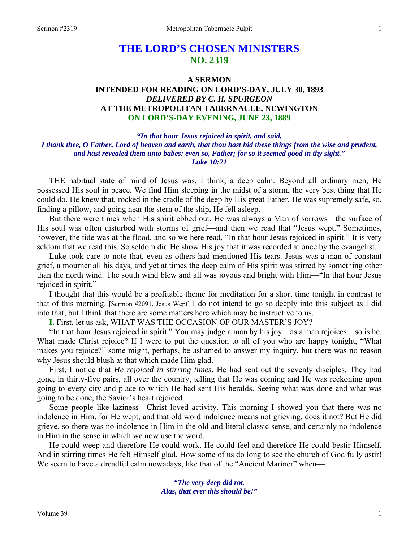# **THE LORD'S CHOSEN MINISTERS NO. 2319**

# **A SERMON INTENDED FOR READING ON LORD'S-DAY, JULY 30, 1893**  *DELIVERED BY C. H. SPURGEON*  **AT THE METROPOLITAN TABERNACLE, NEWINGTON ON LORD'S-DAY EVENING, JUNE 23, 1889**

*"In that hour Jesus rejoiced in spirit, and said, I thank thee, O Father, Lord of heaven and earth, that thou hast hid these things from the wise and prudent, and hast revealed them unto babes: even so, Father; for so it seemed good in thy sight." Luke 10:21* 

THE habitual state of mind of Jesus was, I think, a deep calm. Beyond all ordinary men, He possessed His soul in peace. We find Him sleeping in the midst of a storm, the very best thing that He could do. He knew that, rocked in the cradle of the deep by His great Father, He was supremely safe, so, finding a pillow, and going near the stern of the ship, He fell asleep.

But there were times when His spirit ebbed out. He was always a Man of sorrows—the surface of His soul was often disturbed with storms of grief—and then we read that "Jesus wept." Sometimes, however, the tide was at the flood, and so we here read, "In that hour Jesus rejoiced in spirit." It is very seldom that we read this. So seldom did He show His joy that it was recorded at once by the evangelist.

Luke took care to note that, even as others had mentioned His tears. Jesus was a man of constant grief, a mourner all his days, and yet at times the deep calm of His spirit was stirred by something other than the north wind. The south wind blew and all was joyous and bright with Him—"In that hour Jesus rejoiced in spirit."

I thought that this would be a profitable theme for meditation for a short time tonight in contrast to that of this morning. [Sermon #2091, Jesus Wept] I do not intend to go so deeply into this subject as I did into that, but I think that there are some matters here which may be instructive to us.

**I.** First, let us ask, WHAT WAS THE OCCASION OF OUR MASTER'S JOY?

"In that hour Jesus rejoiced in spirit." You may judge a man by his joy—as a man rejoices—so is he. What made Christ rejoice? If I were to put the question to all of you who are happy tonight, "What makes you rejoice?" some might, perhaps, be ashamed to answer my inquiry, but there was no reason why Jesus should blush at that which made Him glad.

First, I notice that *He rejoiced in stirring times*. He had sent out the seventy disciples. They had gone, in thirty-five pairs, all over the country, telling that He was coming and He was reckoning upon going to every city and place to which He had sent His heralds. Seeing what was done and what was going to be done, the Savior's heart rejoiced.

Some people like laziness—Christ loved activity. This morning I showed you that there was no indolence in Him, for He wept, and that old word indolence means not grieving, does it not? But He did grieve, so there was no indolence in Him in the old and literal classic sense, and certainly no indolence in Him in the sense in which we now use the word.

He could weep and therefore He could work. He could feel and therefore He could bestir Himself. And in stirring times He felt Himself glad. How some of us do long to see the church of God fully astir! We seem to have a dreadful calm nowadays, like that of the "Ancient Mariner" when—

> *"The very deep did rot. Alas, that ever this should be!"*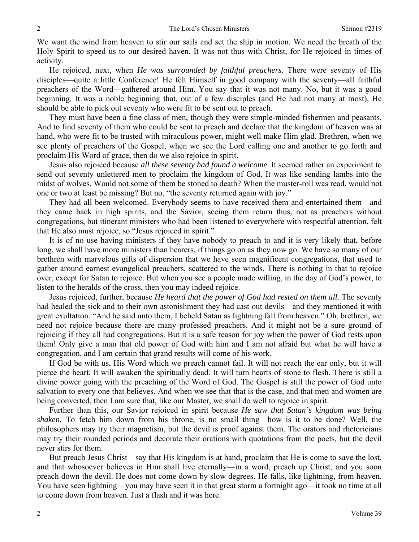We want the wind from heaven to stir our sails and set the ship in motion. We need the breath of the Holy Spirit to speed us to our desired haven. It was not thus with Christ, for He rejoiced in times of activity.

He rejoiced, next, when *He was surrounded by faithful preachers*. There were seventy of His disciples—quite a little Conference! He felt Himself in good company with the seventy—all faithful preachers of the Word—gathered around Him. You say that it was not many. No, but it was a good beginning. It was a noble beginning that, out of a few disciples (and He had not many at most), He should be able to pick out seventy who were fit to be sent out to preach.

They must have been a fine class of men, though they were simple-minded fishermen and peasants. And to find seventy of them who could be sent to preach and declare that the kingdom of heaven was at hand, who were fit to be trusted with miraculous power, might well make Him glad. Brethren, when we see plenty of preachers of the Gospel, when we see the Lord calling one and another to go forth and proclaim His Word of grace, then do we also rejoice in spirit.

Jesus also rejoiced because *all these seventy had found a welcome*. It seemed rather an experiment to send out seventy unlettered men to proclaim the kingdom of God. It was like sending lambs into the midst of wolves. Would not some of them be stoned to death? When the muster-roll was read, would not one or two at least be missing? But no, "the seventy returned again with joy."

They had all been welcomed. Everybody seems to have received them and entertained them—and they came back in high spirits, and the Savior, seeing them return thus, not as preachers without congregations, but itinerant ministers who had been listened to everywhere with respectful attention, felt that He also must rejoice, so "Jesus rejoiced in spirit."

It is of no use having ministers if they have nobody to preach to and it is very likely that, before long, we shall have more ministers than hearers, if things go on as they now go. We have so many of our brethren with marvelous gifts of dispersion that we have seen magnificent congregations, that used to gather around earnest evangelical preachers, scattered to the winds. There is nothing in that to rejoice over, except for Satan to rejoice. But when you see a people made willing, in the day of God's power, to listen to the heralds of the cross, then you may indeed rejoice.

Jesus rejoiced, further, because *He heard that the power of God had rested on them all.* The seventy had healed the sick and to their own astonishment they had cast out devils—and they mentioned it with great exultation. "And he said unto them, I beheld Satan as lightning fall from heaven." Oh, brethren, we need not rejoice because there are many professed preachers. And it might not be a sure ground of rejoicing if they all had congregations. But it is a safe reason for joy when the power of God rests upon them! Only give a man that old power of God with him and I am not afraid but what he will have a congregation, and I am certain that grand results will come of his work.

If God be with us, His Word which we preach cannot fail. It will not reach the ear only, but it will pierce the heart. It will awaken the spiritually dead. It will turn hearts of stone to flesh. There is still a divine power going with the preaching of the Word of God. The Gospel is still the power of God unto salvation to every one that believes. And when we see that that is the case, and that men and women are being converted, then I am sure that, like our Master, we shall do well to rejoice in spirit.

Further than this, our Savior rejoiced in spirit because *He saw that Satan's kingdom was being shaken*. To fetch him down from his throne, is no small thing—how is it to be done? Well, the philosophers may try their magnetism, but the devil is proof against them. The orators and rhetoricians may try their rounded periods and decorate their orations with quotations from the poets, but the devil never stirs for them.

But preach Jesus Christ—say that His kingdom is at hand, proclaim that He is come to save the lost, and that whosoever believes in Him shall live eternally—in a word, preach up Christ, and you soon preach down the devil. He does not come down by slow degrees. He falls, like lightning, from heaven. You have seen lightning—you may have seen it in that great storm a fortnight ago—it took no time at all to come down from heaven. Just a flash and it was here.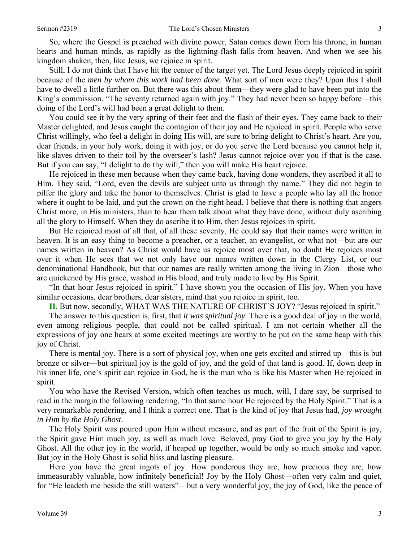So, where the Gospel is preached with divine power, Satan comes down from his throne, in human hearts and human minds, as rapidly as the lightning-flash falls from heaven. And when we see his kingdom shaken, then, like Jesus, we rejoice in spirit.

Still, I do not think that I have hit the center of the target yet. The Lord Jesus deeply rejoiced in spirit because of the *men by whom this work had been done*. What sort of men were they? Upon this I shall have to dwell a little further on. But there was this about them—they were glad to have been put into the King's commission. "The seventy returned again with joy." They had never been so happy before—this doing of the Lord's will had been a great delight to them.

You could see it by the very spring of their feet and the flash of their eyes. They came back to their Master delighted, and Jesus caught the contagion of their joy and He rejoiced in spirit. People who serve Christ willingly, who feel a delight in doing His will, are sure to bring delight to Christ's heart. Are you, dear friends, in your holy work, doing it with joy, or do you serve the Lord because you cannot help it, like slaves driven to their toil by the overseer's lash? Jesus cannot rejoice over you if that is the case. But if you can say, "I delight to do thy will," then you will make His heart rejoice.

He rejoiced in these men because when they came back, having done wonders, they ascribed it all to Him. They said, "Lord, even the devils are subject unto us through thy name." They did not begin to pilfer the glory and take the honor to themselves. Christ is glad to have a people who lay all the honor where it ought to be laid, and put the crown on the right head. I believe that there is nothing that angers Christ more, in His ministers, than to hear them talk about what they have done, without duly ascribing all the glory to Himself. When they do ascribe it to Him, then Jesus rejoices in spirit.

But He rejoiced most of all that, of all these seventy, He could say that their names were written in heaven. It is an easy thing to become a preacher, or a teacher, an evangelist, or what not—but are our names written in heaven? As Christ would have us rejoice most over that, no doubt He rejoices most over it when He sees that we not only have our names written down in the Clergy List, or our denominational Handbook, but that our names are really written among the living in Zion—those who are quickened by His grace, washed in His blood, and truly made to live by His Spirit.

"In that hour Jesus rejoiced in spirit." I have shown you the occasion of His joy. When you have similar occasions, dear brothers, dear sisters, mind that you rejoice in spirit, too.

**II.** But now, secondly, WHAT WAS THE NATURE OF CHRIST'S JOY? "Jesus rejoiced in spirit."

The answer to this question is, first, that *it was spiritual joy*. There is a good deal of joy in the world, even among religious people, that could not be called spiritual. I am not certain whether all the expressions of joy one hears at some excited meetings are worthy to be put on the same heap with this joy of Christ.

There is mental joy. There is a sort of physical joy, when one gets excited and stirred up—this is but bronze or silver—but spiritual joy is the gold of joy, and the gold of that land is good. If, down deep in his inner life, one's spirit can rejoice in God, he is the man who is like his Master when He rejoiced in spirit.

You who have the Revised Version, which often teaches us much, will, I dare say, be surprised to read in the margin the following rendering, "In that same hour He rejoiced by the Holy Spirit." That is a very remarkable rendering, and I think a correct one. That is the kind of joy that Jesus had, *joy wrought in Him by the Holy Ghost*.

The Holy Spirit was poured upon Him without measure, and as part of the fruit of the Spirit is joy, the Spirit gave Him much joy, as well as much love. Beloved, pray God to give you joy by the Holy Ghost. All the other joy in the world, if heaped up together, would be only so much smoke and vapor. But joy in the Holy Ghost is solid bliss and lasting pleasure.

Here you have the great ingots of joy. How ponderous they are, how precious they are, how immeasurably valuable, how infinitely beneficial! Joy by the Holy Ghost—often very calm and quiet, for "He leadeth me beside the still waters"—but a very wonderful joy, the joy of God, like the peace of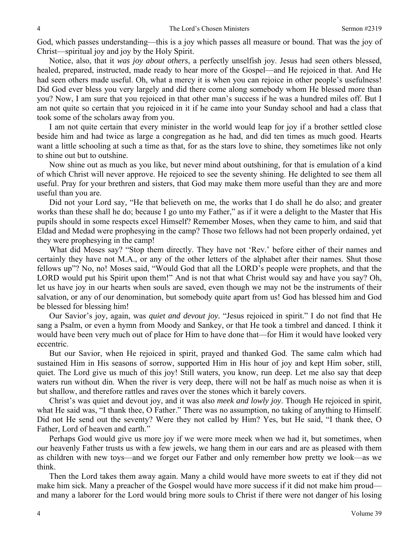God, which passes understanding—this is a joy which passes all measure or bound. That was the joy of Christ—spiritual joy and joy by the Holy Spirit.

Notice, also, that it *was joy about others*, a perfectly unselfish joy. Jesus had seen others blessed, healed, prepared, instructed, made ready to hear more of the Gospel—and He rejoiced in that. And He had seen others made useful. Oh, what a mercy it is when you can rejoice in other people's usefulness! Did God ever bless you very largely and did there come along somebody whom He blessed more than you? Now, I am sure that you rejoiced in that other man's success if he was a hundred miles off. But I am not quite so certain that you rejoiced in it if he came into your Sunday school and had a class that took some of the scholars away from you.

I am not quite certain that every minister in the world would leap for joy if a brother settled close beside him and had twice as large a congregation as he had, and did ten times as much good. Hearts want a little schooling at such a time as that, for as the stars love to shine, they sometimes like not only to shine out but to outshine.

Now shine out as much as you like, but never mind about outshining, for that is emulation of a kind of which Christ will never approve. He rejoiced to see the seventy shining. He delighted to see them all useful. Pray for your brethren and sisters, that God may make them more useful than they are and more useful than you are.

Did not your Lord say, "He that believeth on me, the works that I do shall he do also; and greater works than these shall he do; because I go unto my Father," as if it were a delight to the Master that His pupils should in some respects excel Himself? Remember Moses, when they came to him, and said that Eldad and Medad were prophesying in the camp? Those two fellows had not been properly ordained, yet they were prophesying in the camp!

What did Moses say? "Stop them directly. They have not 'Rev.' before either of their names and certainly they have not M.A., or any of the other letters of the alphabet after their names. Shut those fellows up"? No, no! Moses said, "Would God that all the LORD's people were prophets, and that the LORD would put his Spirit upon them!" And is not that what Christ would say and have you say? Oh, let us have joy in our hearts when souls are saved, even though we may not be the instruments of their salvation, or any of our denomination, but somebody quite apart from us! God has blessed him and God be blessed for blessing him!

Our Savior's joy, again, was *quiet and devout joy.* "Jesus rejoiced in spirit." I do not find that He sang a Psalm, or even a hymn from Moody and Sankey, or that He took a timbrel and danced. I think it would have been very much out of place for Him to have done that—for Him it would have looked very eccentric.

But our Savior, when He rejoiced in spirit, prayed and thanked God. The same calm which had sustained Him in His seasons of sorrow, supported Him in His hour of joy and kept Him sober, still, quiet. The Lord give us much of this joy! Still waters, you know, run deep. Let me also say that deep waters run without din. When the river is very deep, there will not be half as much noise as when it is but shallow, and therefore rattles and raves over the stones which it barely covers.

Christ's was quiet and devout joy, and it was also *meek and lowly joy*. Though He rejoiced in spirit, what He said was, "I thank thee, O Father." There was no assumption, no taking of anything to Himself. Did not He send out the seventy? Were they not called by Him? Yes, but He said, "I thank thee, O Father, Lord of heaven and earth."

Perhaps God would give us more joy if we were more meek when we had it, but sometimes, when our heavenly Father trusts us with a few jewels, we hang them in our ears and are as pleased with them as children with new toys—and we forget our Father and only remember how pretty we look—as we think.

Then the Lord takes them away again. Many a child would have more sweets to eat if they did not make him sick. Many a preacher of the Gospel would have more success if it did not make him proud and many a laborer for the Lord would bring more souls to Christ if there were not danger of his losing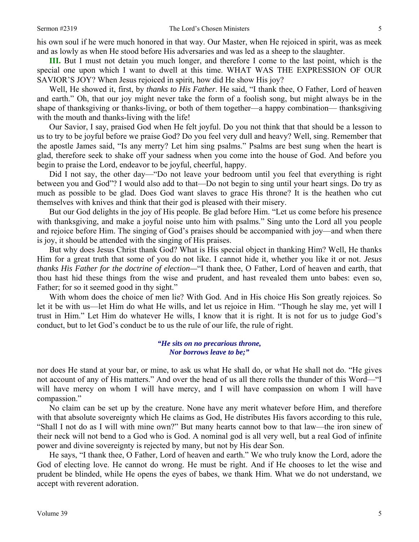**III.** But I must not detain you much longer, and therefore I come to the last point, which is the special one upon which I want to dwell at this time. WHAT WAS THE EXPRESSION OF OUR SAVIOR'S JOY? When Jesus rejoiced in spirit, how did He show His joy?

Well, He showed it, first, by *thanks to His Father*. He said, "I thank thee, O Father, Lord of heaven and earth." Oh, that our joy might never take the form of a foolish song, but might always be in the shape of thanksgiving or thanks-living, or both of them together—a happy combination— thanksgiving with the mouth and thanks-living with the life!

Our Savior, I say, praised God when He felt joyful. Do you not think that that should be a lesson to us to try to be joyful before we praise God? Do you feel very dull and heavy? Well, sing. Remember that the apostle James said, "Is any merry? Let him sing psalms." Psalms are best sung when the heart is glad, therefore seek to shake off your sadness when you come into the house of God. And before you begin to praise the Lord, endeavor to be joyful, cheerful, happy.

Did I not say, the other day—"Do not leave your bedroom until you feel that everything is right between you and God"? I would also add to that—Do not begin to sing until your heart sings. Do try as much as possible to be glad. Does God want slaves to grace His throne? It is the heathen who cut themselves with knives and think that their god is pleased with their misery.

But our God delights in the joy of His people. Be glad before Him. "Let us come before his presence with thanksgiving, and make a joyful noise unto him with psalms." Sing unto the Lord all you people and rejoice before Him. The singing of God's praises should be accompanied with joy—and when there is joy, it should be attended with the singing of His praises.

But why does Jesus Christ thank God? What is His special object in thanking Him? Well, He thanks Him for a great truth that some of you do not like. I cannot hide it, whether you like it or not. *Jesus thanks His Father for the doctrine of election—*"I thank thee, O Father, Lord of heaven and earth, that thou hast hid these things from the wise and prudent, and hast revealed them unto babes: even so, Father; for so it seemed good in thy sight."

With whom does the choice of men lie? With God. And in His choice His Son greatly rejoices. So let it be with us—let Him do what He wills, and let us rejoice in Him. "Though he slay me, yet will I trust in Him." Let Him do whatever He wills, I know that it is right. It is not for us to judge God's conduct, but to let God's conduct be to us the rule of our life, the rule of right.

> *"He sits on no precarious throne, Nor borrows leave to be;"*

nor does He stand at your bar, or mine, to ask us what He shall do, or what He shall not do. "He gives not account of any of His matters." And over the head of us all there rolls the thunder of this Word—"I will have mercy on whom I will have mercy, and I will have compassion on whom I will have compassion."

No claim can be set up by the creature. None have any merit whatever before Him, and therefore with that absolute sovereignty which He claims as God, He distributes His favors according to this rule, "Shall I not do as I will with mine own?" But many hearts cannot bow to that law—the iron sinew of their neck will not bend to a God who is God. A nominal god is all very well, but a real God of infinite power and divine sovereignty is rejected by many, but not by His dear Son.

He says, "I thank thee, O Father, Lord of heaven and earth." We who truly know the Lord, adore the God of electing love. He cannot do wrong. He must be right. And if He chooses to let the wise and prudent be blinded, while He opens the eyes of babes, we thank Him. What we do not understand, we accept with reverent adoration.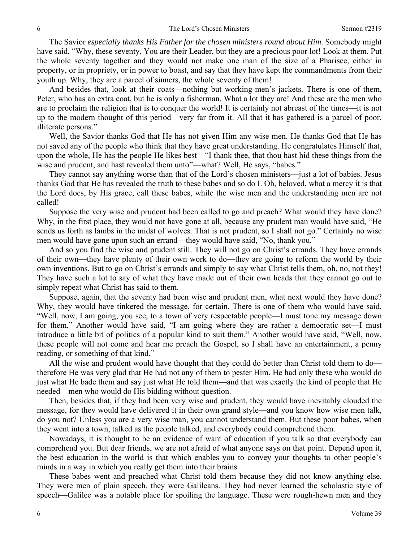The Savior *especially thanks His Father for the chosen ministers round about Him*. Somebody might have said, "Why, these seventy, You are their Leader, but they are a precious poor lot! Look at them. Put the whole seventy together and they would not make one man of the size of a Pharisee, either in property, or in propriety, or in power to boast, and say that they have kept the commandments from their youth up. Why, they are a parcel of sinners, the whole seventy of them!

And besides that, look at their coats—nothing but working-men's jackets. There is one of them, Peter, who has an extra coat, but he is only a fisherman. What a lot they are! And these are the men who are to proclaim the religion that is to conquer the world! It is certainly not abreast of the times—it is not up to the modern thought of this period—very far from it. All that it has gathered is a parcel of poor, illiterate persons."

Well, the Savior thanks God that He has not given Him any wise men. He thanks God that He has not saved any of the people who think that they have great understanding. He congratulates Himself that, upon the whole, He has the people He likes best—"I thank thee, that thou hast hid these things from the wise and prudent, and hast revealed them unto"—what? Well, He says, "babes."

They cannot say anything worse than that of the Lord's chosen ministers—just a lot of babies. Jesus thanks God that He has revealed the truth to these babes and so do I. Oh, beloved, what a mercy it is that the Lord does, by His grace, call these babes, while the wise men and the understanding men are not called!

Suppose the very wise and prudent had been called to go and preach? What would they have done? Why, in the first place, they would not have gone at all, because any prudent man would have said, "He sends us forth as lambs in the midst of wolves. That is not prudent, so I shall not go." Certainly no wise men would have gone upon such an errand—they would have said, "No, thank you."

And so you find the wise and prudent still. They will not go on Christ's errands. They have errands of their own—they have plenty of their own work to do—they are going to reform the world by their own inventions. But to go on Christ's errands and simply to say what Christ tells them, oh, no, not they! They have such a lot to say of what they have made out of their own heads that they cannot go out to simply repeat what Christ has said to them.

Suppose, again, that the seventy had been wise and prudent men, what next would they have done? Why, they would have tinkered the message, for certain. There is one of them who would have said, "Well, now, I am going, you see, to a town of very respectable people—I must tone my message down for them." Another would have said, "I am going where they are rather a democratic set—I must introduce a little bit of politics of a popular kind to suit them." Another would have said, "Well, now, these people will not come and hear me preach the Gospel, so I shall have an entertainment, a penny reading, or something of that kind."

All the wise and prudent would have thought that they could do better than Christ told them to do therefore He was very glad that He had not any of them to pester Him. He had only these who would do just what He bade them and say just what He told them—and that was exactly the kind of people that He needed—men who would do His bidding without question.

Then, besides that, if they had been very wise and prudent, they would have inevitably clouded the message, for they would have delivered it in their own grand style—and you know how wise men talk, do you not? Unless you are a very wise man, you cannot understand them. But these poor babes, when they went into a town, talked as the people talked, and everybody could comprehend them.

Nowadays, it is thought to be an evidence of want of education if you talk so that everybody can comprehend you. But dear friends, we are not afraid of what anyone says on that point. Depend upon it, the best education in the world is that which enables you to convey your thoughts to other people's minds in a way in which you really get them into their brains.

These babes went and preached what Christ told them because they did not know anything else. They were men of plain speech, they were Galileans. They had never learned the scholastic style of speech—Galilee was a notable place for spoiling the language. These were rough-hewn men and they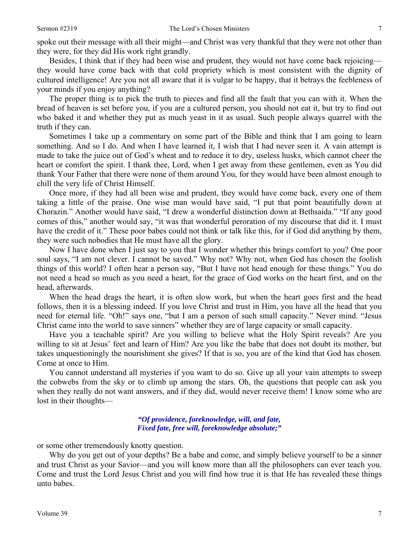spoke out their message with all their might—and Christ was very thankful that they were not other than they were, for they did His work right grandly.

Besides, I think that if they had been wise and prudent, they would not have come back rejoicing they would have come back with that cold propriety which is most consistent with the dignity of cultured intelligence! Are you not all aware that it is vulgar to be happy, that it betrays the feebleness of your minds if you enjoy anything?

The proper thing is to pick the truth to pieces and find all the fault that you can with it. When the bread of heaven is set before you, if you are a cultured person, you should not eat it, but try to find out who baked it and whether they put as much yeast in it as usual. Such people always quarrel with the truth if they can.

Sometimes I take up a commentary on some part of the Bible and think that I am going to learn something. And so I do. And when I have learned it, I wish that I had never seen it. A vain attempt is made to take the juice out of God's wheat and to reduce it to dry, useless husks, which cannot cheer the heart or comfort the spirit. I thank thee, Lord, when I get away from these gentlemen, even as You did thank Your Father that there were none of them around You, for they would have been almost enough to chill the very life of Christ Himself.

Once more, if they had all been wise and prudent, they would have come back, every one of them taking a little of the praise. One wise man would have said, "I put that point beautifully down at Chorazin." Another would have said, "I drew a wonderful distinction down at Bethsaida." "If any good comes of this," another would say, "it was that wonderful peroration of my discourse that did it. I must have the credit of it." These poor babes could not think or talk like this, for if God did anything by them, they were such nobodies that He must have all the glory.

Now I have done when I just say to you that I wonder whether this brings comfort to you? One poor soul says, "I am not clever. I cannot be saved." Why not? Why not, when God has chosen the foolish things of this world? I often hear a person say, "But I have not head enough for these things." You do not need a head so much as you need a heart, for the grace of God works on the heart first, and on the head, afterwards.

When the head drags the heart, it is often slow work, but when the heart goes first and the head follows, then it is a blessing indeed. If you love Christ and trust in Him, you have all the head that you need for eternal life. "Oh!" says one, "but I am a person of such small capacity." Never mind. "Jesus Christ came into the world to save sinners" whether they are of large capacity or small capacity.

Have you a teachable spirit? Are you willing to believe what the Holy Spirit reveals? Are you willing to sit at Jesus' feet and learn of Him? Are you like the babe that does not doubt its mother, but takes unquestioningly the nourishment she gives? If that is so, you are of the kind that God has chosen. Come at once to Him.

You cannot understand all mysteries if you want to do so. Give up all your vain attempts to sweep the cobwebs from the sky or to climb up among the stars. Oh, the questions that people can ask you when they really do not want answers, and if they did, would never receive them! I know some who are lost in their thoughts—

#### *"Of providence, foreknowledge, will, and fate, Fixed fate, free will, foreknowledge absolute;"*

or some other tremendously knotty question.

Why do you get out of your depths? Be a babe and come, and simply believe yourself to be a sinner and trust Christ as your Savior—and you will know more than all the philosophers can ever teach you. Come and trust the Lord Jesus Christ and you will find how true it is that He has revealed these things unto babes.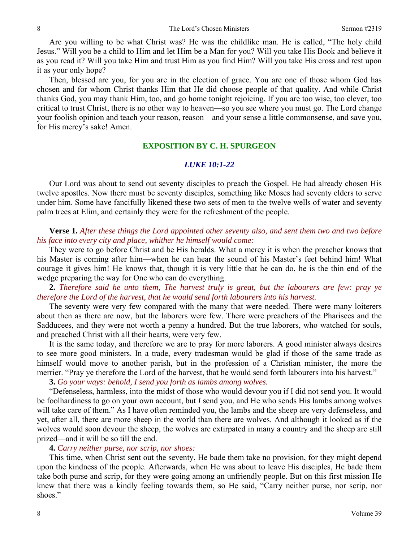Are you willing to be what Christ was? He was the childlike man. He is called, "The holy child Jesus." Will you be a child to Him and let Him be a Man for you? Will you take His Book and believe it as you read it? Will you take Him and trust Him as you find Him? Will you take His cross and rest upon it as your only hope?

Then, blessed are you, for you are in the election of grace. You are one of those whom God has chosen and for whom Christ thanks Him that He did choose people of that quality. And while Christ thanks God, you may thank Him, too, and go home tonight rejoicing. If you are too wise, too clever, too critical to trust Christ, there is no other way to heaven—so you see where you must go. The Lord change your foolish opinion and teach your reason, reason—and your sense a little commonsense, and save you, for His mercy's sake! Amen.

### **EXPOSITION BY C. H. SPURGEON**

#### *LUKE 10:1-22*

Our Lord was about to send out seventy disciples to preach the Gospel. He had already chosen His twelve apostles. Now there must be seventy disciples, something like Moses had seventy elders to serve under him. Some have fancifully likened these two sets of men to the twelve wells of water and seventy palm trees at Elim, and certainly they were for the refreshment of the people.

# **Verse 1.** *After these things the Lord appointed other seventy also, and sent them two and two before his face into every city and place, whither he himself would come:*

They were to go before Christ and be His heralds. What a mercy it is when the preacher knows that his Master is coming after him—when he can hear the sound of his Master's feet behind him! What courage it gives him! He knows that, though it is very little that he can do, he is the thin end of the wedge preparing the way for One who can do everything.

**2.** *Therefore said he unto them, The harvest truly is great, but the labourers are few: pray ye therefore the Lord of the harvest, that he would send forth labourers into his harvest.* 

The seventy were very few compared with the many that were needed. There were many loiterers about then as there are now, but the laborers were few. There were preachers of the Pharisees and the Sadducees, and they were not worth a penny a hundred. But the true laborers, who watched for souls, and preached Christ with all their hearts, were very few.

It is the same today, and therefore we are to pray for more laborers. A good minister always desires to see more good ministers. In a trade, every tradesman would be glad if those of the same trade as himself would move to another parish, but in the profession of a Christian minister, the more the merrier. "Pray ye therefore the Lord of the harvest, that he would send forth labourers into his harvest."

# **3.** *Go your ways: behold, I send you forth as lambs among wolves.*

"Defenseless, harmless, into the midst of those who would devour you if I did not send you. It would be foolhardiness to go on your own account, but *I* send you, and He who sends His lambs among wolves will take care of them." As I have often reminded you, the lambs and the sheep are very defenseless, and yet, after all, there are more sheep in the world than there are wolves. And although it looked as if the wolves would soon devour the sheep, the wolves are extirpated in many a country and the sheep are still prized—and it will be so till the end.

## **4.** *Carry neither purse, nor scrip, nor shoes:*

This time, when Christ sent out the seventy, He bade them take no provision, for they might depend upon the kindness of the people. Afterwards, when He was about to leave His disciples, He bade them take both purse and scrip, for they were going among an unfriendly people. But on this first mission He knew that there was a kindly feeling towards them, so He said, "Carry neither purse, nor scrip, nor shoes."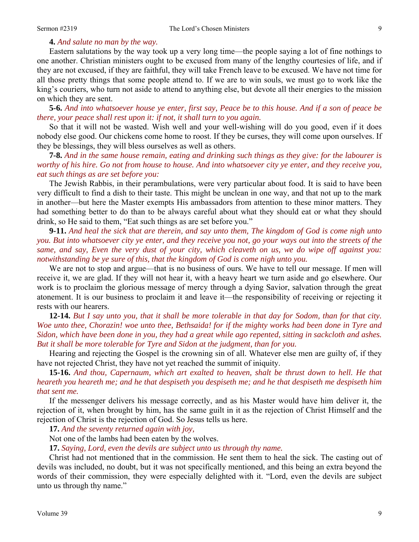## **4.** *And salute no man by the way.*

Eastern salutations by the way took up a very long time—the people saying a lot of fine nothings to one another. Christian ministers ought to be excused from many of the lengthy courtesies of life, and if they are not excused, if they are faithful, they will take French leave to be excused. We have not time for all those pretty things that some people attend to. If we are to win souls, we must go to work like the king's couriers, who turn not aside to attend to anything else, but devote all their energies to the mission on which they are sent.

**5-6.** *And into whatsoever house ye enter, first say, Peace be to this house. And if a son of peace be there, your peace shall rest upon it: if not, it shall turn to you again.* 

So that it will not be wasted. Wish well and your well-wishing will do you good, even if it does nobody else good. Our chickens come home to roost. If they be curses, they will come upon ourselves. If they be blessings, they will bless ourselves as well as others.

**7-8.** *And in the same house remain, eating and drinking such things as they give: for the labourer is worthy of his hire. Go not from house to house. And into whatsoever city ye enter, and they receive you, eat such things as are set before you:* 

The Jewish Rabbis, in their perambulations, were very particular about food. It is said to have been very difficult to find a dish to their taste. This might be unclean in one way, and that not up to the mark in another—but here the Master exempts His ambassadors from attention to these minor matters. They had something better to do than to be always careful about what they should eat or what they should drink, so He said to them, "Eat such things as are set before you."

**9-11.** *And heal the sick that are therein, and say unto them, The kingdom of God is come nigh unto you. But into whatsoever city ye enter, and they receive you not, go your ways out into the streets of the same, and say, Even the very dust of your city, which cleaveth on us, we do wipe off against you: notwithstanding be ye sure of this, that the kingdom of God is come nigh unto you.* 

We are not to stop and argue—that is no business of ours. We have to tell our message. If men will receive it, we are glad. If they will not hear it, with a heavy heart we turn aside and go elsewhere. Our work is to proclaim the glorious message of mercy through a dying Savior, salvation through the great atonement. It is our business to proclaim it and leave it—the responsibility of receiving or rejecting it rests with our hearers.

**12-14.** *But I say unto you, that it shall be more tolerable in that day for Sodom, than for that city. Woe unto thee, Chorazin! woe unto thee, Bethsaida! for if the mighty works had been done in Tyre and Sidon, which have been done in you, they had a great while ago repented, sitting in sackcloth and ashes. But it shall be more tolerable for Tyre and Sidon at the judgment, than for you.* 

Hearing and rejecting the Gospel is the crowning sin of all. Whatever else men are guilty of, if they have not rejected Christ, they have not yet reached the summit of iniquity.

**15-16.** *And thou, Capernaum, which art exalted to heaven, shalt be thrust down to hell. He that heareth you heareth me; and he that despiseth you despiseth me; and he that despiseth me despiseth him that sent me.* 

If the messenger delivers his message correctly, and as his Master would have him deliver it, the rejection of it, when brought by him, has the same guilt in it as the rejection of Christ Himself and the rejection of Christ is the rejection of God. So Jesus tells us here.

**17.** *And the seventy returned again with joy,* 

Not one of the lambs had been eaten by the wolves.

**17.** *Saying, Lord, even the devils are subject unto us through thy name.* 

Christ had not mentioned that in the commission. He sent them to heal the sick. The casting out of devils was included, no doubt, but it was not specifically mentioned, and this being an extra beyond the words of their commission, they were especially delighted with it. "Lord, even the devils are subject unto us through thy name."